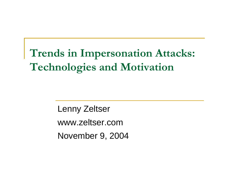# **Trends in Impersonation Attacks: Technologies and Motivation**

Lenny Zeltser www.zeltser.comNovember 9, 2004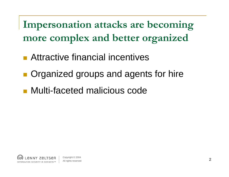**Impersonation attacks are becoming more complex and better organized**

- $\mathcal{L}^{\mathcal{L}}$ Attractive financial incentives
- Organized groups and agents for hire
- Multi-faceted malicious code

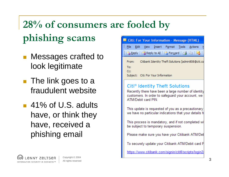# **28% of consumers are fooled by phishing scams**

- **Nessages crafted to** look legitimate
- The link goes to a fraudulent website
- 41% of U.S. adults have, or think they have, received a phishing email



#### Citi® Identity Theft Solutions

Recently there have been a large number of identity customers. In order to safeguard your account, we ATM/Debit card PIN

This update is requested of you as a precautionary we have no particular indications that your details h

This process is mandatory, and if not completed wil be subject to temporary suspension.

Please make sure you have your Citibank ATM/Deb

To securely update your Citibank ATM/Debit card P

https://www.citibank.com/signin/citifi/scripts/login2/

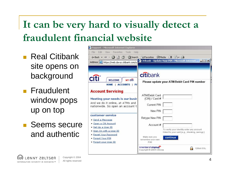### **It can be very hard to visually detect a fraudulent financial website**

- Real Citibank site opens on background
- **Fraudulent** window pops up on top
- Seems secure and authentic

| Support - Microsoft Internet Explorer                                         |                                                                   |
|-------------------------------------------------------------------------------|-------------------------------------------------------------------|
| Edit<br>File<br>View<br>Favorites<br>Tools<br>Help                            |                                                                   |
| - 41<br>$\leftarrow$ Back $\rightarrow$ $\rightarrow$ $\circ$ $\circ$ $\circ$ | <b>QSearch RelFavorites ST Media 3 B - 鱼</b>                      |
| Address <b>&amp; https://web.da-us.citibank.com/co</b>                        | Citibank - Update Your PIN - Microsoft Internet    10 X           |
|                                                                               |                                                                   |
|                                                                               |                                                                   |
|                                                                               | citibank                                                          |
| <b>MY Citi</b><br><b>WELCOME</b>                                              |                                                                   |
| ACCOUNTS   PA<br><b>HOME</b>                                                  | Please update your ATM/Debit Card PIN number                      |
|                                                                               |                                                                   |
| <b>Account Servicing</b>                                                      |                                                                   |
|                                                                               | ATM/Debit Card                                                    |
| Meeting your needs is our busir                                               | (CIN) / Card #                                                    |
| And we do it online, at ATMs and<br>nationwide. So open an account t          | Current PIN                                                       |
|                                                                               | New PIN                                                           |
| customer service                                                              |                                                                   |
| · Send a Message                                                              | Retype New PIN                                                    |
| · Open a Citi Account                                                         | Account#                                                          |
| · Set Up a User ID                                                            | To verify your identity enter any account                         |
| . Sign On with a User ID                                                      | linked to your card (e.g., checking, savings.)                    |
| · Reset Your Password                                                         | Make sure you                                                     |
| • Forgot Your PIN                                                             | continue<br>remember your new                                     |
| · Forgot your User ID                                                         | PIN!                                                              |
|                                                                               | A member of crtigroup.<br>128bit SSL<br>Copyright @ 2004 Citicorp |

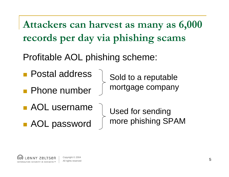**Attackers can harvest as many as 6,000 records per day via phishing scams**

Profitable AOL phishing scheme:

- Postal address
- **Phone number**

Sold to a reputable mortgage company

**AOL** username

■ AOL password

Used for sending more phishing SPAM

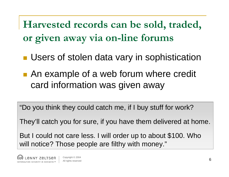**Harvested records can be sold, traded, or given away via on-line forums**

- **Users of stolen data vary in sophistication**
- **An example of a web forum where credit** card information was given away

"Do you think they could catch me, if I buy stuff for work?

They'll catch you for sure, if you have them delivered at home.

But I could not care less. I will order up to about \$100. Who will notice? Those people are filthy with money."

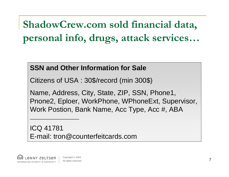**ShadowCrew.com sold financial data, personal info, drugs, attack services…**

#### **SSN and Other Information for Sale**

Citizens of USA : 30\$/record (min 300\$)

Name, Address, City, State, ZIP, SSN, Phone1, Pnone2, Eploer, WorkPhone, WPhoneExt, Supervisor, Work Postion, Bank Name, Acc Type, Acc #, ABA

ICQ 41781 E-mail: tron@counterfeitcards.com



 $\overline{\phantom{a}}$  , and the contract of the contract of the contract of the contract of the contract of the contract of the contract of the contract of the contract of the contract of the contract of the contract of the contrac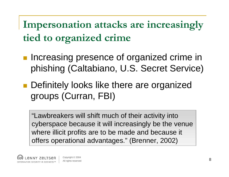**Impersonation attacks are increasingly tied to organized crime**

- **Increasing presence of organized crime in** phishing (Caltabiano, U.S. Secret Service)
- **Definitely looks like there are organized** groups (Curran, FBI)

"Lawbreakers will shift much of their activity into cyberspace because it will increasingly be the venue where illicit profits are to be made and because it offers operational advantages." (Brenner, 2002)

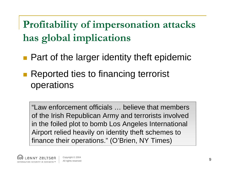**Profitability of impersonation attacks has global implications**

- **Part of the larger identity theft epidemic**
- Reported ties to financing terrorist operations

"Law enforcement officials … believe that members of the Irish Republican Army and terrorists involved in the foiled plot to bomb Los Angeles International Airport relied heavily on identity theft schemes to finance their operations." (O'Brien, NY Times)

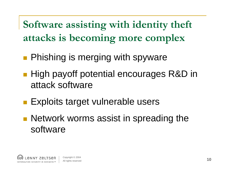**Software assisting with identity theft attacks is becoming more complex**

- **Phishing is merging with spyware**
- High payoff potential encourages R&D in attack software
- **Exploits target vulnerable users**
- **Network worms assist in spreading the** software

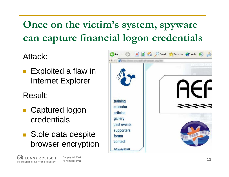## **Once on the victim's system, spyware can capture financial logon credentials**

Attack:

F Exploited a flaw in Internet Explorer

Result:

- Captured logon credentials
- Stole data despite browser encryption



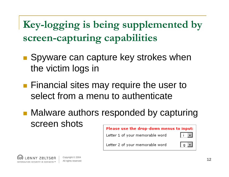**Key-logging is being supplemented by screen-capturing capabilities**

- Spyware can capture key strokes when the victim logs in
- **Financial sites may require the user to** select from a menu to authenticate
- **Malware authors responded by capturing** screen shots

#### Please use the drop-down menus to input:



Letter 1 of your memorable word

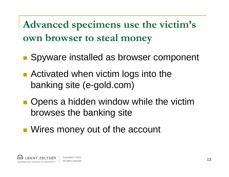**Advanced specimens use the victim's own browser to steal money**

- **Spyware installed as browser component**
- Activated when victim logs into the banking site (e-gold.com)
- **Opens a hidden window while the victim** browses the banking site
- **Nires money out of the account**

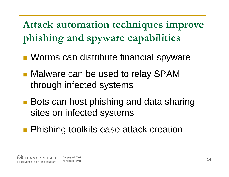**Attack automation techniques improve phishing and spyware capabilities**

- **Norms can distribute financial spyware**
- Malware can be used to relay SPAM through infected systems
- Bots can host phishing and data sharing sites on infected systems
- **Phishing toolkits ease attack creation**

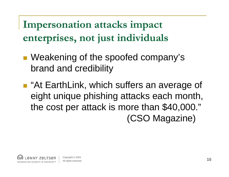**Impersonation attacks impact enterprises, not just individuals**

- Weakening of the spoofed company's brand and credibility
- "At EarthLink, which suffers an average of eight unique phishing attacks each month, the cost per attack is more than \$40,000." (CSO Magazine)

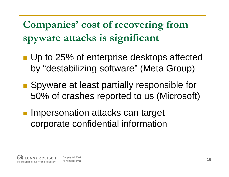**Companies' cost of recovering from spyware attacks is significant**

- **Up to 25% of enterprise desktops affected** by "destabilizing software" (Meta Group)
- Spyware at least partially responsible for 50% of crashes reported to us (Microsoft)
- **Impersonation attacks can target** corporate confidential information

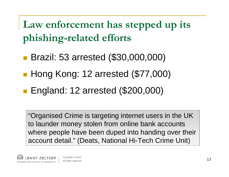**Law enforcement has stepped up its phishing-related efforts**

- Brazil: 53 arrested (\$30,000,000)
- Hong Kong: 12 arrested (\$77,000)
- **England: 12 arrested (\$200,000)**

"Organised Crime is targeting internet users in the UK to launder money stolen from online bank accounts where people have been duped into handing over their account detail." (Deats, National Hi-Tech Crime Unit)

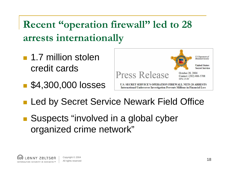**Recent "operation firewall" led to 28 arrests internationally**

- 1.7 million stolen credit cards
- **54,300,000 losses**



- **Led by Secret Service Newark Field Office**
- Suspects "involved in a global cyber organized crime network"

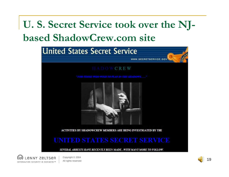### **U. S. Secret Service took over the NJbased ShadowCrew.com site**



SEVERAL ARRESTS HAVE RECENTLY BEEN MADE... WITH MANY MORE TO FOLLOW.



Copyright © 2004 **All rights reserved** and the computation of  $\blacksquare$  and  $\blacksquare$   $\blacksquare$   $\blacksquare$   $\blacksquare$   $\blacksquare$   $\blacksquare$   $\blacksquare$   $\blacksquare$   $\blacksquare$   $\blacksquare$   $\blacksquare$   $\blacksquare$   $\blacksquare$   $\blacksquare$   $\blacksquare$   $\blacksquare$   $\blacksquare$   $\blacksquare$   $\blacksquare$   $\blacksquare$   $\blacksquare$